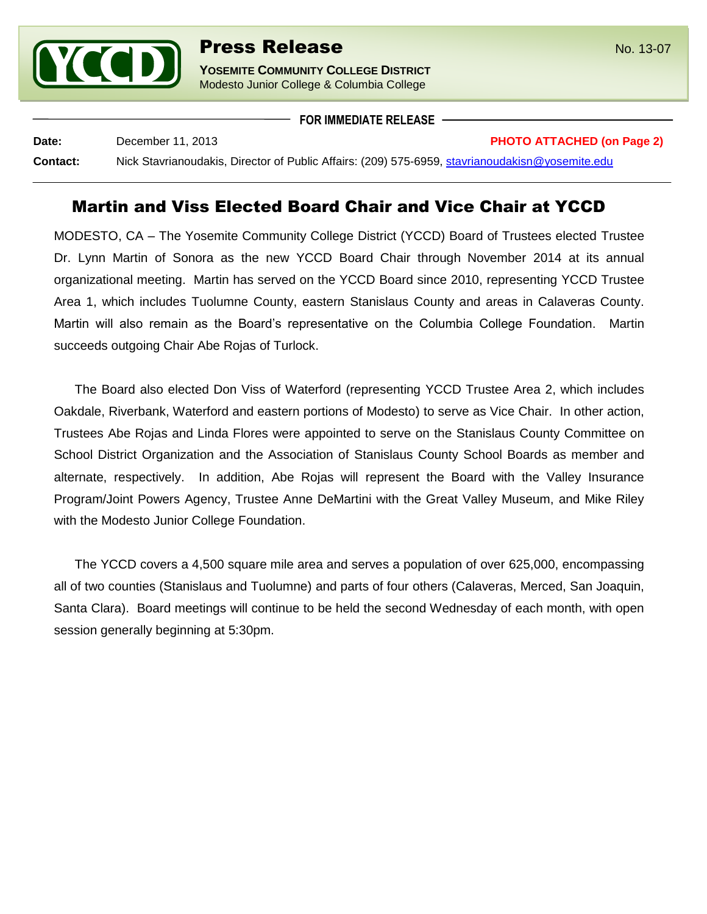

**YOSEMITE COMMUNITY COLLEGE DISTRICT** Modesto Junior College & Columbia College

**FOR IMMEDIATE RELEASE**

**Date:** December 11, 2013 **PHOTO ATTACHED (on Page 2)**

**Contact:** Nick Stavrianoudakis, Director of Public Affairs: (209) 575-6959, [stavrianoudakisn@yosemite.edu](mailto:stavrianoudakisn@yosemite.edu)

## Martin and Viss Elected Board Chair and Vice Chair at YCCD

MODESTO, CA – The Yosemite Community College District (YCCD) Board of Trustees elected Trustee Dr. Lynn Martin of Sonora as the new YCCD Board Chair through November 2014 at its annual organizational meeting. Martin has served on the YCCD Board since 2010, representing YCCD Trustee Area 1, which includes Tuolumne County, eastern Stanislaus County and areas in Calaveras County. Martin will also remain as the Board's representative on the Columbia College Foundation. Martin succeeds outgoing Chair Abe Rojas of Turlock.

The Board also elected Don Viss of Waterford (representing YCCD Trustee Area 2, which includes Oakdale, Riverbank, Waterford and eastern portions of Modesto) to serve as Vice Chair. In other action, Trustees Abe Rojas and Linda Flores were appointed to serve on the Stanislaus County Committee on School District Organization and the Association of Stanislaus County School Boards as member and alternate, respectively. In addition, Abe Rojas will represent the Board with the Valley Insurance Program/Joint Powers Agency, Trustee Anne DeMartini with the Great Valley Museum, and Mike Riley with the Modesto Junior College Foundation.

The YCCD covers a 4,500 square mile area and serves a population of over 625,000, encompassing all of two counties (Stanislaus and Tuolumne) and parts of four others (Calaveras, Merced, San Joaquin, Santa Clara). Board meetings will continue to be held the second Wednesday of each month, with open session generally beginning at 5:30pm.